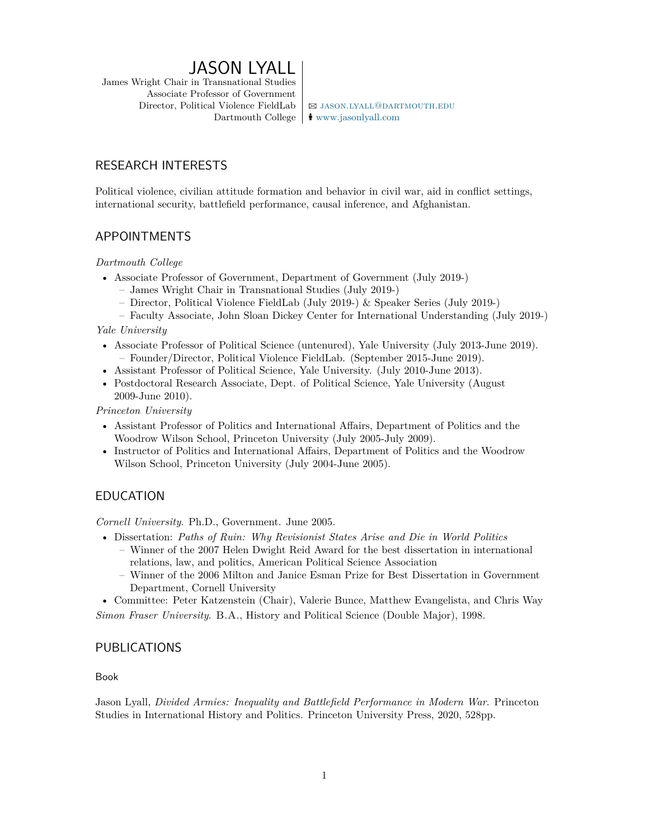# JASON LYALL

James Wright Chair in Transnational Studies Associate Professor of Government Director, Political Violence FieldLab  $\Box$  JASON.LYALL@DARTMOUTH.EDU

Dartmouth College  $\frac{1}{\sqrt{2}}$  <www.jasonlyall.com>

## RESEARCH INTERESTS

Political violence, civilian attitude formation and behavior in civil war, aid in conflict settings, international security, battlefield performance, causal inference, and Afghanistan.

## APPOINTMENTS

*Dartmouth College*

- Associate Professor of Government, Department of Government (July 2019-)
	- James Wright Chair in Transnational Studies (July 2019-)
	- Director, Political Violence FieldLab (July 2019-) & Speaker Series (July 2019-)
	- Faculty Associate, John Sloan Dickey Center for International Understanding (July 2019-)

*Yale University*

- Associate Professor of Political Science (untenured), Yale University (July 2013-June 2019). – Founder/Director, Political Violence FieldLab. (September 2015-June 2019).
- Assistant Professor of Political Science, Yale University. (July 2010-June 2013).
- Postdoctoral Research Associate, Dept. of Political Science, Yale University (August 2009-June 2010).

*Princeton University*

- Assistant Professor of Politics and International Affairs, Department of Politics and the Woodrow Wilson School, Princeton University (July 2005-July 2009).
- Instructor of Politics and International Affairs, Department of Politics and the Woodrow Wilson School, Princeton University (July 2004-June 2005).

## EDUCATION

*Cornell University*. Ph.D., Government. June 2005.

- Dissertation: *Paths of Ruin: Why Revisionist States Arise and Die in World Politics* – Winner of the 2007 Helen Dwight Reid Award for the best dissertation in international
	- relations, law, and politics, American Political Science Association
	- Winner of the 2006 Milton and Janice Esman Prize for Best Dissertation in Government Department, Cornell University

• Committee: Peter Katzenstein (Chair), Valerie Bunce, Matthew Evangelista, and Chris Way *Simon Fraser University*. B.A., History and Political Science (Double Major), 1998.

## PUBLICATIONS

Book

Jason Lyall, *Divided Armies: Inequality and Battlefield Performance in Modern War*. Princeton Studies in International History and Politics. Princeton University Press, 2020, 528pp.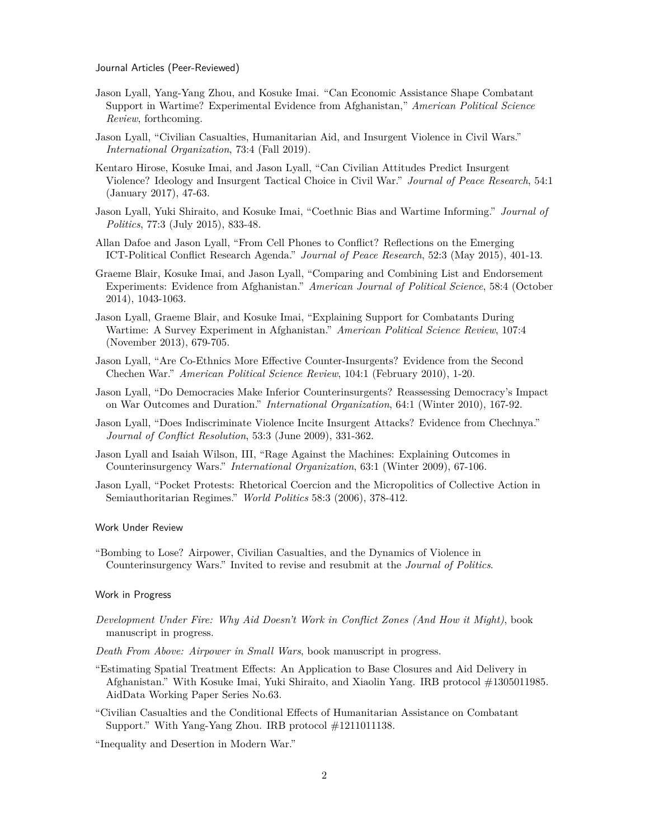Journal Articles (Peer-Reviewed)

- Jason Lyall, Yang-Yang Zhou, and Kosuke Imai. "Can Economic Assistance Shape Combatant Support in Wartime? Experimental Evidence from Afghanistan," *American Political Science Review*, forthcoming.
- Jason Lyall, "Civilian Casualties, Humanitarian Aid, and Insurgent Violence in Civil Wars." *International Organization*, 73:4 (Fall 2019).
- Kentaro Hirose, Kosuke Imai, and Jason Lyall, "Can Civilian Attitudes Predict Insurgent Violence? Ideology and Insurgent Tactical Choice in Civil War." *Journal of Peace Research*, 54:1 (January 2017), 47-63.
- Jason Lyall, Yuki Shiraito, and Kosuke Imai, "Coethnic Bias and Wartime Informing." *Journal of Politics*, 77:3 (July 2015), 833-48.
- Allan Dafoe and Jason Lyall, "From Cell Phones to Conflict? Reflections on the Emerging ICT-Political Conflict Research Agenda." *Journal of Peace Research*, 52:3 (May 2015), 401-13.
- Graeme Blair, Kosuke Imai, and Jason Lyall, "Comparing and Combining List and Endorsement Experiments: Evidence from Afghanistan." *American Journal of Political Science*, 58:4 (October 2014), 1043-1063.
- Jason Lyall, Graeme Blair, and Kosuke Imai, "Explaining Support for Combatants During Wartime: A Survey Experiment in Afghanistan." *American Political Science Review*, 107:4 (November 2013), 679-705.
- Jason Lyall, "Are Co-Ethnics More Effective Counter-Insurgents? Evidence from the Second Chechen War." *American Political Science Review*, 104:1 (February 2010), 1-20.
- Jason Lyall, "Do Democracies Make Inferior Counterinsurgents? Reassessing Democracy's Impact on War Outcomes and Duration." *International Organization*, 64:1 (Winter 2010), 167-92.
- Jason Lyall, "Does Indiscriminate Violence Incite Insurgent Attacks? Evidence from Chechnya." *Journal of Conflict Resolution*, 53:3 (June 2009), 331-362.
- Jason Lyall and Isaiah Wilson, III, "Rage Against the Machines: Explaining Outcomes in Counterinsurgency Wars." *International Organization*, 63:1 (Winter 2009), 67-106.
- Jason Lyall, "Pocket Protests: Rhetorical Coercion and the Micropolitics of Collective Action in Semiauthoritarian Regimes." *World Politics* 58:3 (2006), 378-412.

#### Work Under Review

"Bombing to Lose? Airpower, Civilian Casualties, and the Dynamics of Violence in Counterinsurgency Wars." Invited to revise and resubmit at the *Journal of Politics*.

#### Work in Progress

- *Development Under Fire: Why Aid Doesn't Work in Conflict Zones (And How it Might)*, book manuscript in progress.
- *Death From Above: Airpower in Small Wars*, book manuscript in progress.
- "Estimating Spatial Treatment Effects: An Application to Base Closures and Aid Delivery in Afghanistan." With Kosuke Imai, Yuki Shiraito, and Xiaolin Yang. IRB protocol #1305011985. AidData Working Paper Series No.63.
- "Civilian Casualties and the Conditional Effects of Humanitarian Assistance on Combatant Support." With Yang-Yang Zhou. IRB protocol #1211011138.

"Inequality and Desertion in Modern War."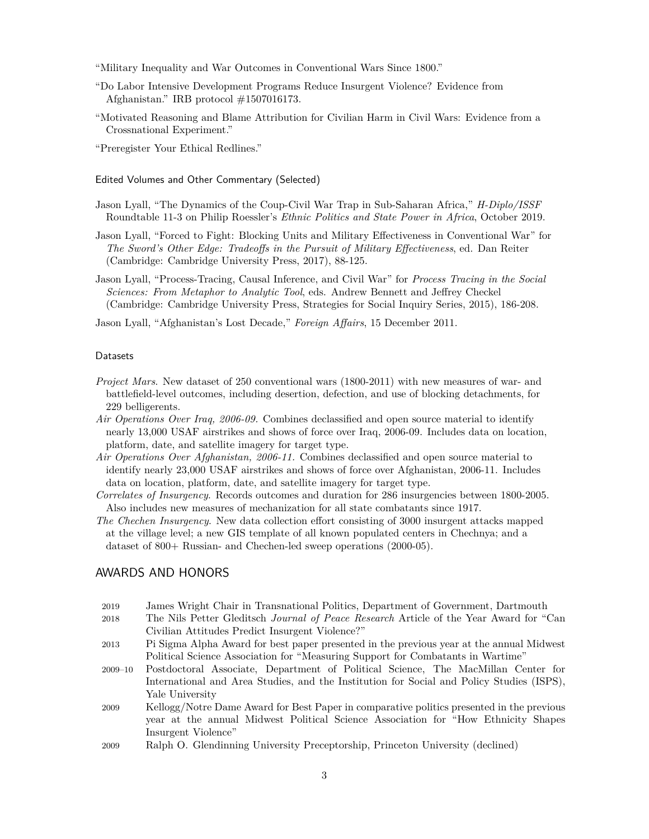- "Military Inequality and War Outcomes in Conventional Wars Since 1800."
- "Do Labor Intensive Development Programs Reduce Insurgent Violence? Evidence from Afghanistan." IRB protocol #1507016173.
- "Motivated Reasoning and Blame Attribution for Civilian Harm in Civil Wars: Evidence from a Crossnational Experiment."
- "Preregister Your Ethical Redlines."

Edited Volumes and Other Commentary (Selected)

- Jason Lyall, "The Dynamics of the Coup-Civil War Trap in Sub-Saharan Africa," *H-Diplo/ISSF* Roundtable 11-3 on Philip Roessler's *Ethnic Politics and State Power in Africa*, October 2019.
- Jason Lyall, "Forced to Fight: Blocking Units and Military Effectiveness in Conventional War" for *The Sword's Other Edge: Tradeoffs in the Pursuit of Military Effectiveness*, ed. Dan Reiter (Cambridge: Cambridge University Press, 2017), 88-125.
- Jason Lyall, "Process-Tracing, Causal Inference, and Civil War" for *Process Tracing in the Social Sciences: From Metaphor to Analytic Tool*, eds. Andrew Bennett and Jeffrey Checkel (Cambridge: Cambridge University Press, Strategies for Social Inquiry Series, 2015), 186-208.

Jason Lyall, "Afghanistan's Lost Decade," *Foreign Affairs*, 15 December 2011.

#### Datasets

- *Project Mars*. New dataset of 250 conventional wars (1800-2011) with new measures of war- and battlefield-level outcomes, including desertion, defection, and use of blocking detachments, for 229 belligerents.
- *Air Operations Over Iraq, 2006-09.* Combines declassified and open source material to identify nearly 13,000 USAF airstrikes and shows of force over Iraq, 2006-09. Includes data on location, platform, date, and satellite imagery for target type.
- *Air Operations Over Afghanistan, 2006-11.* Combines declassified and open source material to identify nearly 23,000 USAF airstrikes and shows of force over Afghanistan, 2006-11. Includes data on location, platform, date, and satellite imagery for target type.
- *Correlates of Insurgency*. Records outcomes and duration for 286 insurgencies between 1800-2005. Also includes new measures of mechanization for all state combatants since 1917.
- *The Chechen Insurgency*. New data collection effort consisting of 3000 insurgent attacks mapped at the village level; a new GIS template of all known populated centers in Chechnya; and a dataset of 800+ Russian- and Chechen-led sweep operations (2000-05).

### AWARDS AND HONORS

- 2019 James Wright Chair in Transnational Politics, Department of Government, Dartmouth
- 2018 The Nils Petter Gleditsch *Journal of Peace Research* Article of the Year Award for "Can Civilian Attitudes Predict Insurgent Violence?"
- 2013 Pi Sigma Alpha Award for best paper presented in the previous year at the annual Midwest Political Science Association for "Measuring Support for Combatants in Wartime"
- 2009–10 Postdoctoral Associate, Department of Political Science, The MacMillan Center for International and Area Studies, and the Institution for Social and Policy Studies (ISPS), Yale University
- 2009 Kellogg/Notre Dame Award for Best Paper in comparative politics presented in the previous year at the annual Midwest Political Science Association for "How Ethnicity Shapes Insurgent Violence"
- 2009 Ralph O. Glendinning University Preceptorship, Princeton University (declined)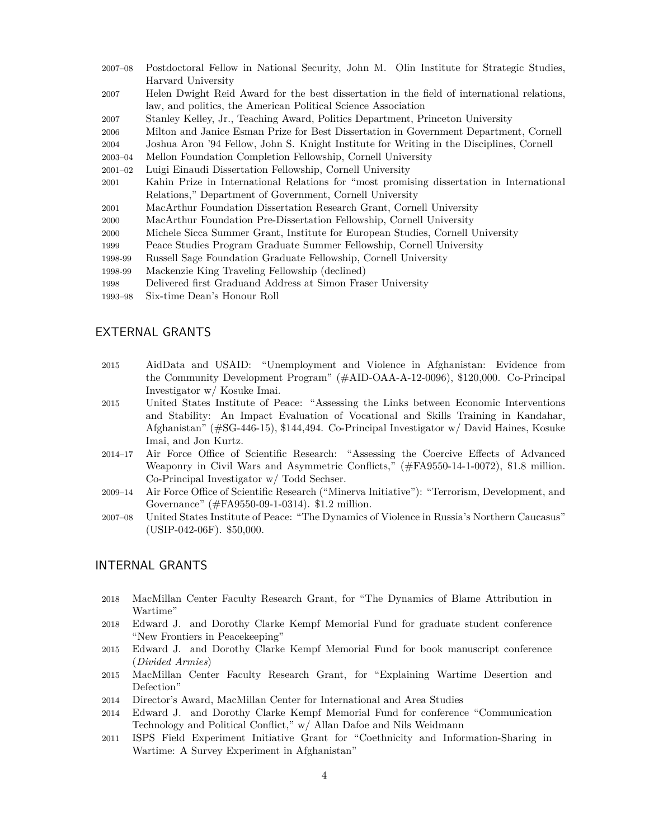- 2007–08 Postdoctoral Fellow in National Security, John M. Olin Institute for Strategic Studies, Harvard University
- 2007 Helen Dwight Reid Award for the best dissertation in the field of international relations, law, and politics, the American Political Science Association
- 2007 Stanley Kelley, Jr., Teaching Award, Politics Department, Princeton University
- 2006 Milton and Janice Esman Prize for Best Dissertation in Government Department, Cornell
- 2004 Joshua Aron '94 Fellow, John S. Knight Institute for Writing in the Disciplines, Cornell
- 2003–04 Mellon Foundation Completion Fellowship, Cornell University
- 2001–02 Luigi Einaudi Dissertation Fellowship, Cornell University
- 2001 Kahin Prize in International Relations for "most promising dissertation in International Relations," Department of Government, Cornell University
- 2001 MacArthur Foundation Dissertation Research Grant, Cornell University
- 2000 MacArthur Foundation Pre-Dissertation Fellowship, Cornell University
- 2000 Michele Sicca Summer Grant, Institute for European Studies, Cornell University
- 1999 Peace Studies Program Graduate Summer Fellowship, Cornell University
- 1998-99 Russell Sage Foundation Graduate Fellowship, Cornell University
- 1998-99 Mackenzie King Traveling Fellowship (declined)
- 1998 Delivered first Graduand Address at Simon Fraser University
- 1993–98 Six-time Dean's Honour Roll

## EXTERNAL GRANTS

- 2015 AidData and USAID: "Unemployment and Violence in Afghanistan: Evidence from the Community Development Program" (#AID-OAA-A-12-0096), \$120,000. Co-Principal Investigator w/ Kosuke Imai.
- 2015 United States Institute of Peace: "Assessing the Links between Economic Interventions and Stability: An Impact Evaluation of Vocational and Skills Training in Kandahar, Afghanistan" (#SG-446-15), \$144,494. Co-Principal Investigator w/ David Haines, Kosuke Imai, and Jon Kurtz.
- 2014–17 Air Force Office of Scientific Research: "Assessing the Coercive Effects of Advanced Weaponry in Civil Wars and Asymmetric Conflicts," (#FA9550-14-1-0072), \$1.8 million. Co-Principal Investigator w/ Todd Sechser.
- 2009–14 Air Force Office of Scientific Research ("Minerva Initiative"): "Terrorism, Development, and Governance" (#FA9550-09-1-0314). \$1.2 million.
- 2007–08 United States Institute of Peace: "The Dynamics of Violence in Russia's Northern Caucasus" (USIP-042-06F). \$50,000.

## INTERNAL GRANTS

- 2018 MacMillan Center Faculty Research Grant, for "The Dynamics of Blame Attribution in Wartime"
- 2018 Edward J. and Dorothy Clarke Kempf Memorial Fund for graduate student conference "New Frontiers in Peacekeeping"
- 2015 Edward J. and Dorothy Clarke Kempf Memorial Fund for book manuscript conference (*Divided Armies*)
- 2015 MacMillan Center Faculty Research Grant, for "Explaining Wartime Desertion and Defection"
- 2014 Director's Award, MacMillan Center for International and Area Studies
- 2014 Edward J. and Dorothy Clarke Kempf Memorial Fund for conference "Communication Technology and Political Conflict," w/ Allan Dafoe and Nils Weidmann
- 2011 ISPS Field Experiment Initiative Grant for "Coethnicity and Information-Sharing in Wartime: A Survey Experiment in Afghanistan"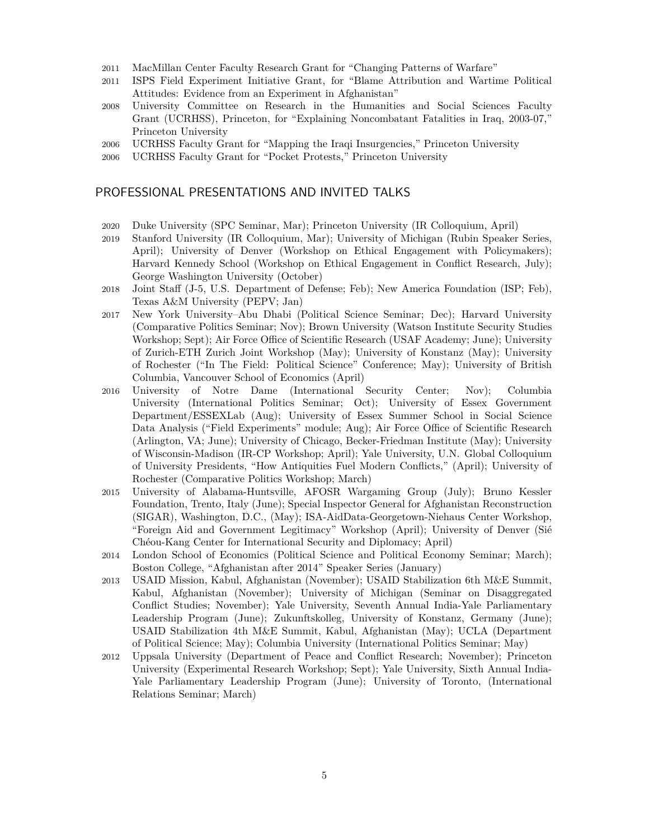- 2011 MacMillan Center Faculty Research Grant for "Changing Patterns of Warfare"
- 2011 ISPS Field Experiment Initiative Grant, for "Blame Attribution and Wartime Political Attitudes: Evidence from an Experiment in Afghanistan"
- 2008 University Committee on Research in the Humanities and Social Sciences Faculty Grant (UCRHSS), Princeton, for "Explaining Noncombatant Fatalities in Iraq, 2003-07," Princeton University
- 2006 UCRHSS Faculty Grant for "Mapping the Iraqi Insurgencies," Princeton University
- 2006 UCRHSS Faculty Grant for "Pocket Protests," Princeton University

### PROFESSIONAL PRESENTATIONS AND INVITED TALKS

- 2020 Duke University (SPC Seminar, Mar); Princeton University (IR Colloquium, April)
- 2019 Stanford University (IR Colloquium, Mar); University of Michigan (Rubin Speaker Series, April); University of Denver (Workshop on Ethical Engagement with Policymakers); Harvard Kennedy School (Workshop on Ethical Engagement in Conflict Research, July); George Washington University (October)
- 2018 Joint Staff (J-5, U.S. Department of Defense; Feb); New America Foundation (ISP; Feb), Texas A&M University (PEPV; Jan)
- 2017 New York University–Abu Dhabi (Political Science Seminar; Dec); Harvard University (Comparative Politics Seminar; Nov); Brown University (Watson Institute Security Studies Workshop; Sept); Air Force Office of Scientific Research (USAF Academy; June); University of Zurich-ETH Zurich Joint Workshop (May); University of Konstanz (May); University of Rochester ("In The Field: Political Science" Conference; May); University of British Columbia, Vancouver School of Economics (April)
- 2016 University of Notre Dame (International Security Center; Nov); Columbia University (International Politics Seminar; Oct); University of Essex Government Department/ESSEXLab (Aug); University of Essex Summer School in Social Science Data Analysis ("Field Experiments" module; Aug); Air Force Office of Scientific Research (Arlington, VA; June); University of Chicago, Becker-Friedman Institute (May); University of Wisconsin-Madison (IR-CP Workshop; April); Yale University, U.N. Global Colloquium of University Presidents, "How Antiquities Fuel Modern Conflicts," (April); University of Rochester (Comparative Politics Workshop; March)
- 2015 University of Alabama-Huntsville, AFOSR Wargaming Group (July); Bruno Kessler Foundation, Trento, Italy (June); Special Inspector General for Afghanistan Reconstruction (SIGAR), Washington, D.C., (May); ISA-AidData-Georgetown-Niehaus Center Workshop, "Foreign Aid and Government Legitimacy" Workshop (April); University of Denver (Sié Chéou-Kang Center for International Security and Diplomacy; April)
- 2014 London School of Economics (Political Science and Political Economy Seminar; March); Boston College, "Afghanistan after 2014" Speaker Series (January)
- 2013 USAID Mission, Kabul, Afghanistan (November); USAID Stabilization 6th M&E Summit, Kabul, Afghanistan (November); University of Michigan (Seminar on Disaggregated Conflict Studies; November); Yale University, Seventh Annual India-Yale Parliamentary Leadership Program (June); Zukunftskolleg, University of Konstanz, Germany (June); USAID Stabilization 4th M&E Summit, Kabul, Afghanistan (May); UCLA (Department of Political Science; May); Columbia University (International Politics Seminar; May)
- 2012 Uppsala University (Department of Peace and Conflict Research; November); Princeton University (Experimental Research Workshop; Sept); Yale University, Sixth Annual India-Yale Parliamentary Leadership Program (June); University of Toronto, (International Relations Seminar; March)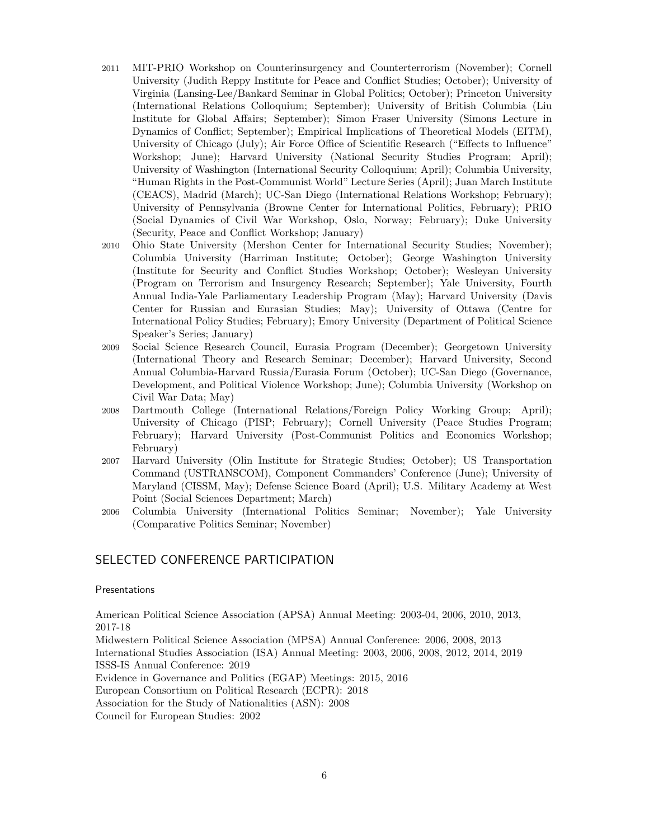- 2011 MIT-PRIO Workshop on Counterinsurgency and Counterterrorism (November); Cornell University (Judith Reppy Institute for Peace and Conflict Studies; October); University of Virginia (Lansing-Lee/Bankard Seminar in Global Politics; October); Princeton University (International Relations Colloquium; September); University of British Columbia (Liu Institute for Global Affairs; September); Simon Fraser University (Simons Lecture in Dynamics of Conflict; September); Empirical Implications of Theoretical Models (EITM), University of Chicago (July); Air Force Office of Scientific Research ("Effects to Influence" Workshop; June); Harvard University (National Security Studies Program; April); University of Washington (International Security Colloquium; April); Columbia University, "Human Rights in the Post-Communist World" Lecture Series (April); Juan March Institute (CEACS), Madrid (March); UC-San Diego (International Relations Workshop; February); University of Pennsylvania (Browne Center for International Politics, February); PRIO (Social Dynamics of Civil War Workshop, Oslo, Norway; February); Duke University (Security, Peace and Conflict Workshop; January)
- 2010 Ohio State University (Mershon Center for International Security Studies; November); Columbia University (Harriman Institute; October); George Washington University (Institute for Security and Conflict Studies Workshop; October); Wesleyan University (Program on Terrorism and Insurgency Research; September); Yale University, Fourth Annual India-Yale Parliamentary Leadership Program (May); Harvard University (Davis Center for Russian and Eurasian Studies; May); University of Ottawa (Centre for International Policy Studies; February); Emory University (Department of Political Science Speaker's Series; January)
- 2009 Social Science Research Council, Eurasia Program (December); Georgetown University (International Theory and Research Seminar; December); Harvard University, Second Annual Columbia-Harvard Russia/Eurasia Forum (October); UC-San Diego (Governance, Development, and Political Violence Workshop; June); Columbia University (Workshop on Civil War Data; May)
- 2008 Dartmouth College (International Relations/Foreign Policy Working Group; April); University of Chicago (PISP; February); Cornell University (Peace Studies Program; February); Harvard University (Post-Communist Politics and Economics Workshop; February)
- 2007 Harvard University (Olin Institute for Strategic Studies; October); US Transportation Command (USTRANSCOM), Component Commanders' Conference (June); University of Maryland (CISSM, May); Defense Science Board (April); U.S. Military Academy at West Point (Social Sciences Department; March)
- 2006 Columbia University (International Politics Seminar; November); Yale University (Comparative Politics Seminar; November)

## SELECTED CONFERENCE PARTICIPATION

#### Presentations

American Political Science Association (APSA) Annual Meeting: 2003-04, 2006, 2010, 2013, 2017-18

Midwestern Political Science Association (MPSA) Annual Conference: 2006, 2008, 2013 International Studies Association (ISA) Annual Meeting: 2003, 2006, 2008, 2012, 2014, 2019 ISSS-IS Annual Conference: 2019

Evidence in Governance and Politics (EGAP) Meetings: 2015, 2016

European Consortium on Political Research (ECPR): 2018

Association for the Study of Nationalities (ASN): 2008

Council for European Studies: 2002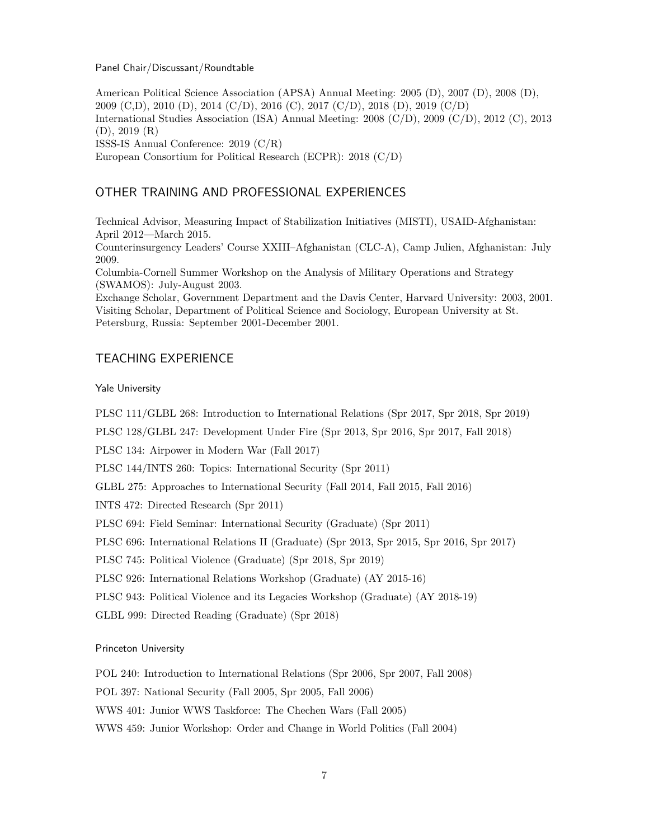#### Panel Chair/Discussant/Roundtable

American Political Science Association (APSA) Annual Meeting: 2005 (D), 2007 (D), 2008 (D), 2009 (C,D), 2010 (D), 2014 (C/D), 2016 (C), 2017 (C/D), 2018 (D), 2019 (C/D) International Studies Association (ISA) Annual Meeting: 2008 (C/D), 2009 (C/D), 2012 (C), 2013 (D), 2019 (R) ISSS-IS Annual Conference: 2019 (C/R) European Consortium for Political Research (ECPR): 2018 (C/D)

## OTHER TRAINING AND PROFESSIONAL EXPERIENCES

Technical Advisor, Measuring Impact of Stabilization Initiatives (MISTI), USAID-Afghanistan: April 2012—March 2015.

Counterinsurgency Leaders' Course XXIII–Afghanistan (CLC-A), Camp Julien, Afghanistan: July 2009.

Columbia-Cornell Summer Workshop on the Analysis of Military Operations and Strategy (SWAMOS): July-August 2003.

Exchange Scholar, Government Department and the Davis Center, Harvard University: 2003, 2001. Visiting Scholar, Department of Political Science and Sociology, European University at St. Petersburg, Russia: September 2001-December 2001.

### TEACHING EXPERIENCE

#### Yale University

PLSC 111/GLBL 268: Introduction to International Relations (Spr 2017, Spr 2018, Spr 2019)

PLSC 128/GLBL 247: Development Under Fire (Spr 2013, Spr 2016, Spr 2017, Fall 2018)

PLSC 134: Airpower in Modern War (Fall 2017)

PLSC 144/INTS 260: Topics: International Security (Spr 2011)

GLBL 275: Approaches to International Security (Fall 2014, Fall 2015, Fall 2016)

INTS 472: Directed Research (Spr 2011)

PLSC 694: Field Seminar: International Security (Graduate) (Spr 2011)

PLSC 696: International Relations II (Graduate) (Spr 2013, Spr 2015, Spr 2016, Spr 2017)

PLSC 745: Political Violence (Graduate) (Spr 2018, Spr 2019)

PLSC 926: International Relations Workshop (Graduate) (AY 2015-16)

PLSC 943: Political Violence and its Legacies Workshop (Graduate) (AY 2018-19)

GLBL 999: Directed Reading (Graduate) (Spr 2018)

#### Princeton University

POL 240: Introduction to International Relations (Spr 2006, Spr 2007, Fall 2008)

POL 397: National Security (Fall 2005, Spr 2005, Fall 2006)

WWS 401: Junior WWS Taskforce: The Chechen Wars (Fall 2005)

WWS 459: Junior Workshop: Order and Change in World Politics (Fall 2004)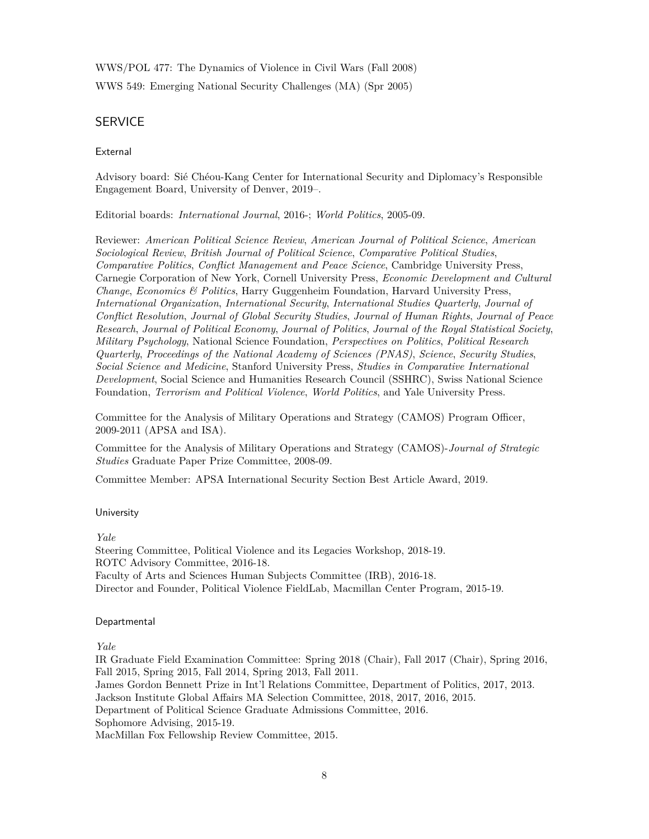WWS/POL 477: The Dynamics of Violence in Civil Wars (Fall 2008)

WWS 549: Emerging National Security Challenges (MA) (Spr 2005)

## SERVICE

External

Advisory board: Sié Chéou-Kang Center for International Security and Diplomacy's Responsible Engagement Board, University of Denver, 2019–.

Editorial boards: *International Journal*, 2016-; *World Politics*, 2005-09.

Reviewer: *American Political Science Review*, *American Journal of Political Science*, *American Sociological Review*, *British Journal of Political Science*, *Comparative Political Studies*, *Comparative Politics*, *Conflict Management and Peace Science*, Cambridge University Press, Carnegie Corporation of New York, Cornell University Press, *Economic Development and Cultural Change*, *Economics & Politics*, Harry Guggenheim Foundation, Harvard University Press, *International Organization*, *International Security*, *International Studies Quarterly*, *Journal of Conflict Resolution*, *Journal of Global Security Studies*, *Journal of Human Rights*, *Journal of Peace Research*, *Journal of Political Economy*, *Journal of Politics*, *Journal of the Royal Statistical Society*, *Military Psychology*, National Science Foundation, *Perspectives on Politics*, *Political Research Quarterly*, *Proceedings of the National Academy of Sciences (PNAS)*, *Science*, *Security Studies*, *Social Science and Medicine*, Stanford University Press, *Studies in Comparative International Development*, Social Science and Humanities Research Council (SSHRC), Swiss National Science Foundation, *Terrorism and Political Violence*, *World Politics*, and Yale University Press.

Committee for the Analysis of Military Operations and Strategy (CAMOS) Program Officer, 2009-2011 (APSA and ISA).

Committee for the Analysis of Military Operations and Strategy (CAMOS)-*Journal of Strategic Studies* Graduate Paper Prize Committee, 2008-09.

Committee Member: APSA International Security Section Best Article Award, 2019.

### University

*Yale*

Steering Committee, Political Violence and its Legacies Workshop, 2018-19. ROTC Advisory Committee, 2016-18. Faculty of Arts and Sciences Human Subjects Committee (IRB), 2016-18. Director and Founder, Political Violence FieldLab, Macmillan Center Program, 2015-19.

### Departmental

*Yale*

IR Graduate Field Examination Committee: Spring 2018 (Chair), Fall 2017 (Chair), Spring 2016, Fall 2015, Spring 2015, Fall 2014, Spring 2013, Fall 2011.

James Gordon Bennett Prize in Int'l Relations Committee, Department of Politics, 2017, 2013.

Jackson Institute Global Affairs MA Selection Committee, 2018, 2017, 2016, 2015.

Department of Political Science Graduate Admissions Committee, 2016.

Sophomore Advising, 2015-19.

MacMillan Fox Fellowship Review Committee, 2015.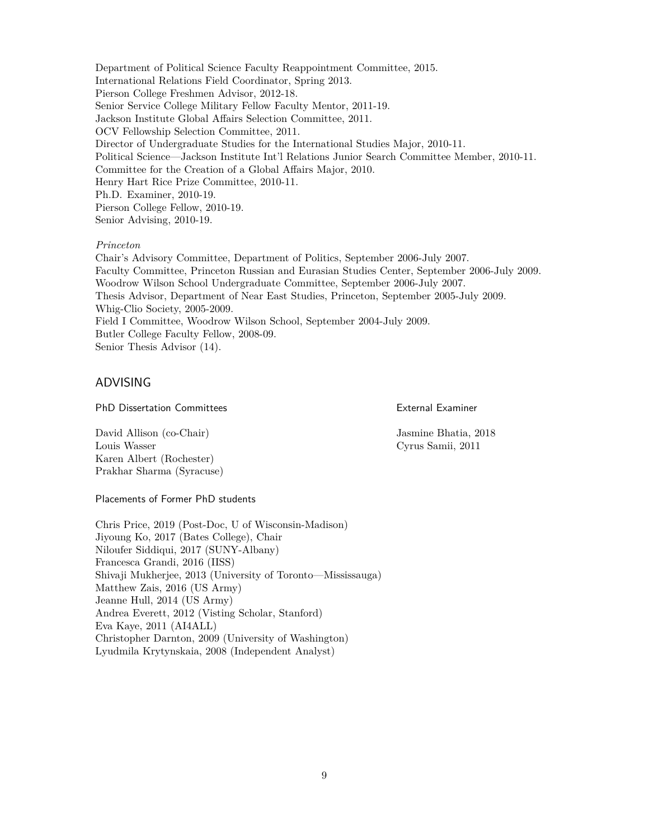Department of Political Science Faculty Reappointment Committee, 2015. International Relations Field Coordinator, Spring 2013. Pierson College Freshmen Advisor, 2012-18. Senior Service College Military Fellow Faculty Mentor, 2011-19. Jackson Institute Global Affairs Selection Committee, 2011. OCV Fellowship Selection Committee, 2011. Director of Undergraduate Studies for the International Studies Major, 2010-11. Political Science—Jackson Institute Int'l Relations Junior Search Committee Member, 2010-11. Committee for the Creation of a Global Affairs Major, 2010. Henry Hart Rice Prize Committee, 2010-11. Ph.D. Examiner, 2010-19. Pierson College Fellow, 2010-19. Senior Advising, 2010-19.

#### *Princeton*

Chair's Advisory Committee, Department of Politics, September 2006-July 2007. Faculty Committee, Princeton Russian and Eurasian Studies Center, September 2006-July 2009. Woodrow Wilson School Undergraduate Committee, September 2006-July 2007. Thesis Advisor, Department of Near East Studies, Princeton, September 2005-July 2009. Whig-Clio Society, 2005-2009. Field I Committee, Woodrow Wilson School, September 2004-July 2009. Butler College Faculty Fellow, 2008-09. Senior Thesis Advisor (14).

### ADVISING

PhD Dissertation Committees

External Examiner

David Allison (co-Chair) Louis Wasser Karen Albert (Rochester) Prakhar Sharma (Syracuse) Jasmine Bhatia, 2018 Cyrus Samii, 2011

Placements of Former PhD students

Chris Price, 2019 (Post-Doc, U of Wisconsin-Madison) Jiyoung Ko, 2017 (Bates College), Chair Niloufer Siddiqui, 2017 (SUNY-Albany) Francesca Grandi, 2016 (IISS) Shivaji Mukherjee, 2013 (University of Toronto—Mississauga) Matthew Zais, 2016 (US Army) Jeanne Hull, 2014 (US Army) Andrea Everett, 2012 (Visting Scholar, Stanford) Eva Kaye, 2011 (AI4ALL) Christopher Darnton, 2009 (University of Washington) Lyudmila Krytynskaia, 2008 (Independent Analyst)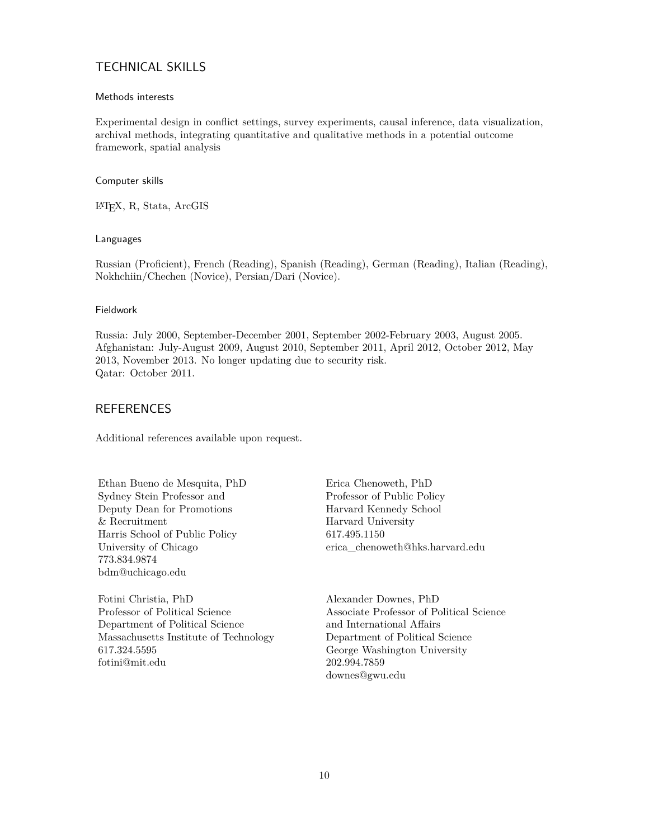## TECHNICAL SKILLS

### Methods interests

Experimental design in conflict settings, survey experiments, causal inference, data visualization, archival methods, integrating quantitative and qualitative methods in a potential outcome framework, spatial analysis

### Computer skills

LATEX, R, Stata, ArcGIS

### Languages

Russian (Proficient), French (Reading), Spanish (Reading), German (Reading), Italian (Reading), Nokhchiin/Chechen (Novice), Persian/Dari (Novice).

### Fieldwork

Russia: July 2000, September-December 2001, September 2002-February 2003, August 2005. Afghanistan: July-August 2009, August 2010, September 2011, April 2012, October 2012, May 2013, November 2013. No longer updating due to security risk. Qatar: October 2011.

## REFERENCES

Additional references available upon request.

Ethan Bueno de Mesquita, PhD Sydney Stein Professor and Deputy Dean for Promotions & Recruitment Harris School of Public Policy University of Chicago 773.834.9874 bdm@uchicago.edu

Fotini Christia, PhD Professor of Political Science Department of Political Science Massachusetts Institute of Technology 617.324.5595 fotini@mit.edu

Erica Chenoweth, PhD Professor of Public Policy Harvard Kennedy School Harvard University 617.495.1150 erica\_chenoweth@hks.harvard.edu

Alexander Downes, PhD Associate Professor of Political Science and International Affairs Department of Political Science George Washington University 202.994.7859 downes@gwu.edu